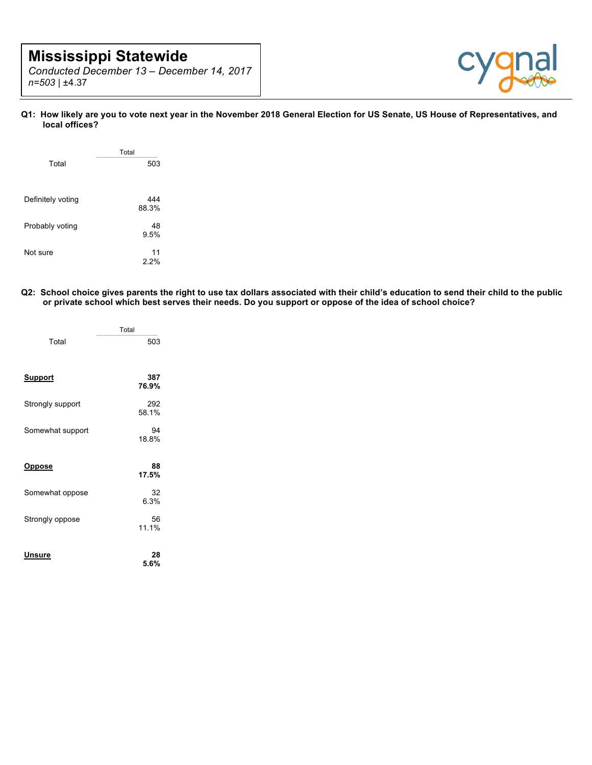# **Mississippi Statewide**

*Conducted December 13 – December 14, 2017 n=503 |* ±4.37



**Q1: How likely are you to vote next year in the November 2018 General Election for US Senate, US House of Representatives, and local offices?**

|                   | Total        |
|-------------------|--------------|
| Total             | 503          |
|                   |              |
| Definitely voting | 444<br>88.3% |
| Probably voting   | 48<br>9.5%   |
| Not sure          | 11<br>2.2%   |

**Q2: School choice gives parents the right to use tax dollars associated with their child's education to send their child to the public or private school which best serves their needs. Do you support or oppose of the idea of school choice?**

|                  | Total        |
|------------------|--------------|
| Total            | 503          |
| <u>Support</u>   | 387<br>76.9% |
| Strongly support | 292<br>58.1% |
| Somewhat support | 94<br>18.8%  |
| <u>Oppose</u>    | 88<br>17.5%  |
| Somewhat oppose  | 32<br>6.3%   |
| Strongly oppose  | 56<br>11.1%  |
| Unsure           | 28<br>5.6%   |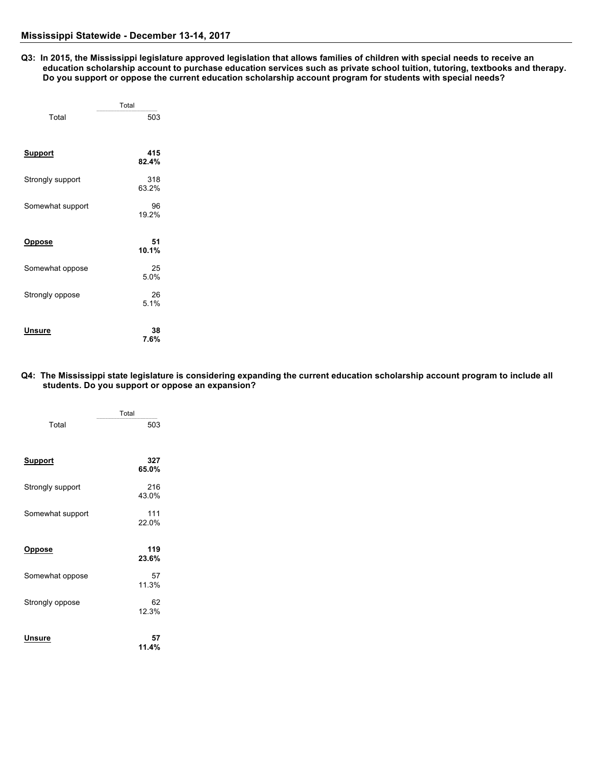**Q3: In 2015, the Mississippi legislature approved legislation that allows families of children with special needs to receive an education scholarship account to purchase education services such as private school tuition, tutoring, textbooks and therapy. Do you support or oppose the current education scholarship account program for students with special needs?**

|                  | Total        |  |
|------------------|--------------|--|
| Total            | 503          |  |
| <u>Support</u>   | 415<br>82.4% |  |
| Strongly support | 318<br>63.2% |  |
| Somewhat support | 96<br>19.2%  |  |
| <u>Oppose</u>    | 51<br>10.1%  |  |
| Somewhat oppose  | 25<br>5.0%   |  |
| Strongly oppose  | 26<br>5.1%   |  |
| Unsure           | 38<br>7.6%   |  |

#### **Q4: The Mississippi state legislature is considering expanding the current education scholarship account program to include all students. Do you support or oppose an expansion?**

|                  | Total        |
|------------------|--------------|
| Total            | 503          |
| <u>Support</u>   | 327<br>65.0% |
| Strongly support | 216<br>43.0% |
| Somewhat support | 111<br>22.0% |
| <u>Oppose</u>    | 119<br>23.6% |
| Somewhat oppose  | 57<br>11.3%  |
| Strongly oppose  | 62<br>12.3%  |
| Unsure           | 57<br>11.4%  |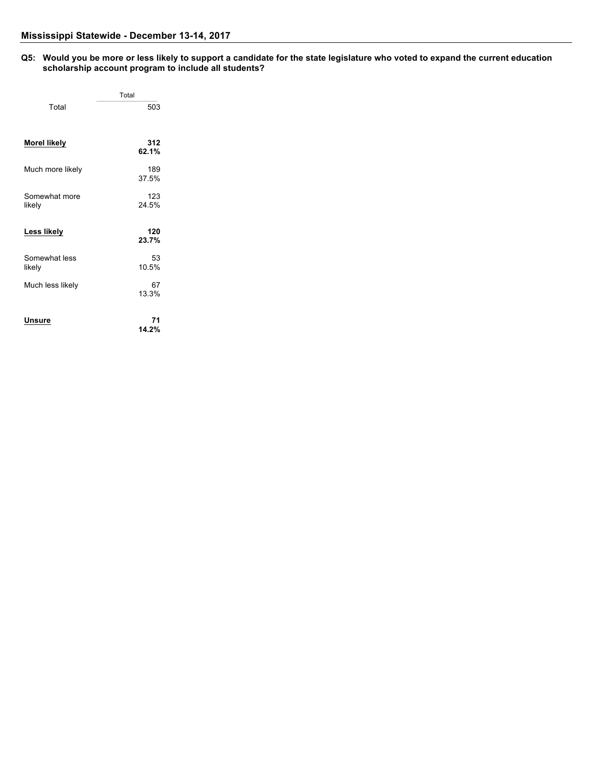#### **Q5: Would you be more or less likely to support a candidate for the state legislature who voted to expand the current education scholarship account program to include all students?**

|                         | Total        |
|-------------------------|--------------|
| Total                   | 503          |
| <b>Morel likely</b>     | 312<br>62.1% |
| Much more likely        | 189<br>37.5% |
| Somewhat more<br>likely | 123<br>24.5% |
| Less likely             | 120<br>23.7% |
| Somewhat less<br>likely | 53<br>10.5%  |
| Much less likely        | 67<br>13.3%  |
| Unsure                  | 71<br>14.2%  |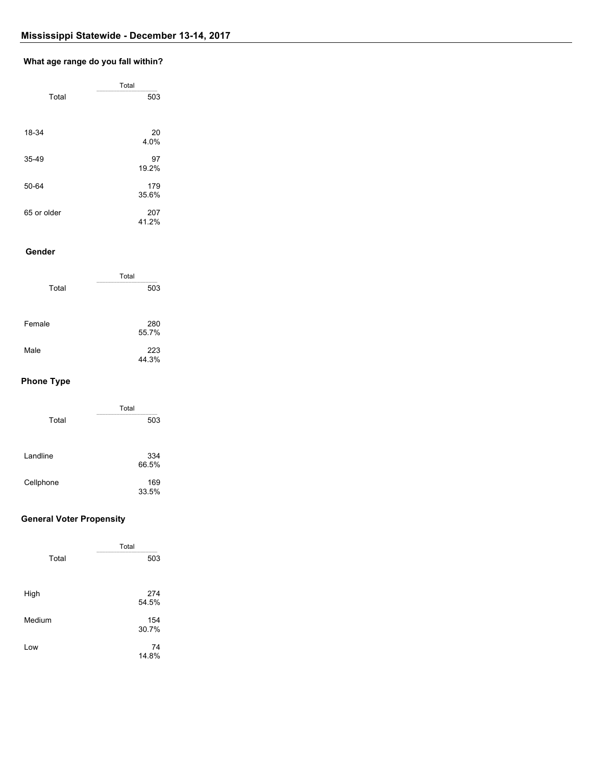## **Q7: What age range do you fall within? What age range do you fall within?**

|             | Total |  |
|-------------|-------|--|
| Total       | 503   |  |
|             |       |  |
| 18-34       | 20    |  |
|             | 4.0%  |  |
| $35 - 49$   | 97    |  |
|             | 19.2% |  |
| 50-64       | 179   |  |
|             | 35.6% |  |
| 65 or older | 207   |  |
|             | 41.2% |  |

#### **Q8: Gender Gender**

|        | Total        |
|--------|--------------|
| Total  | 503          |
| Female | 280<br>55.7% |
| Male   | 223<br>44.3% |

# **Phone Type**

|           | Total        |
|-----------|--------------|
| Total     | 503          |
| Landline  | 334<br>66.5% |
| Cellphone | 169<br>33.5% |

## **General Voter Propensity**

|        | Total |
|--------|-------|
| Total  | 503   |
|        |       |
| High   | 274   |
|        | 54.5% |
| Medium | 154   |
|        | 30.7% |
| Low    | 74    |
|        | 14.8% |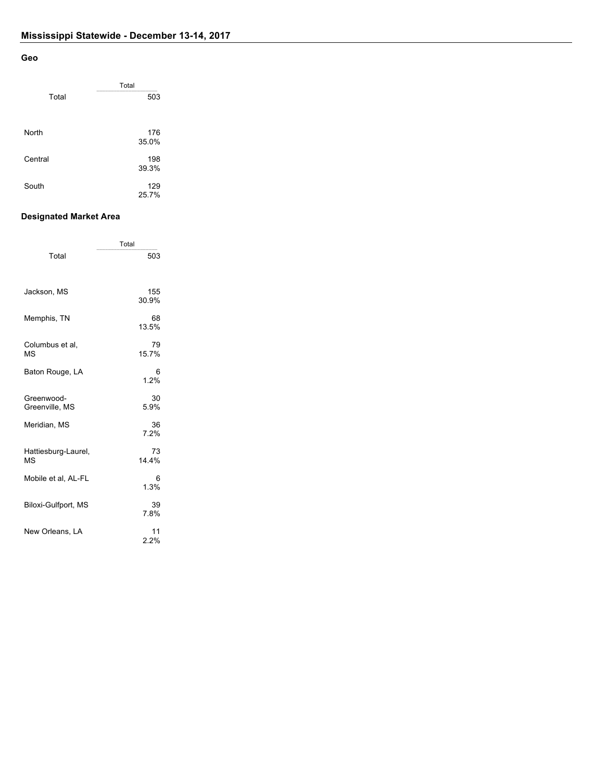#### **Geo**

|         | Total |  |
|---------|-------|--|
| Total   | 503   |  |
|         |       |  |
| North   | 176   |  |
|         | 35.0% |  |
| Central | 198   |  |
|         | 39.3% |  |
| South   | 129   |  |
|         | 25.7% |  |

#### **Designated Market Area**

|                              | Total        |
|------------------------------|--------------|
| Total                        | 503          |
| Jackson, MS                  | 155<br>30.9% |
| Memphis, TN                  | 68<br>13.5%  |
| Columbus et al,<br>MS        | 79<br>15.7%  |
| Baton Rouge, LA              | 6<br>1.2%    |
| Greenwood-<br>Greenville, MS | 30<br>5.9%   |
| Meridian, MS                 | 36<br>7.2%   |
| Hattiesburg-Laurel,<br>MS    | 73<br>14.4%  |
| Mobile et al, AL-FL          | 6<br>1.3%    |
| Biloxi-Gulfport, MS          | 39<br>7.8%   |
| New Orleans, LA              | 11<br>2.2%   |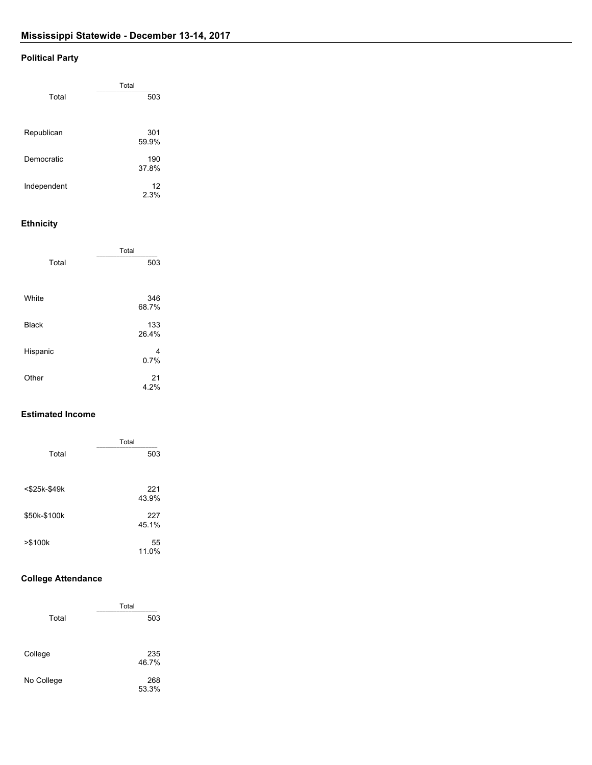# **Political Party**

|             | Total        |
|-------------|--------------|
| Total       | 503          |
|             |              |
|             |              |
| Republican  | 301<br>59.9% |
|             |              |
| Democratic  | 190          |
|             | 37.8%        |
| Independent | 12           |
|             | 2.3%         |
|             |              |

## **Ethnicity**

|              | Total        |  |
|--------------|--------------|--|
| Total        | 503          |  |
| White        | 346<br>68.7% |  |
| <b>Black</b> | 133<br>26.4% |  |
| Hispanic     | 4<br>0.7%    |  |
| Other        | 21<br>4.2%   |  |

## **Estimated Income**

|                 | Total        |
|-----------------|--------------|
| Total           | 503          |
| $<$ \$25k-\$49k | 221<br>43.9% |
| \$50k-\$100k    | 227<br>45.1% |
| > \$100k        | 55<br>11.0%  |

## **College Attendance**

|            | Total        |
|------------|--------------|
| Total      | 503          |
| College    | 235<br>46.7% |
| No College | 268<br>53.3% |